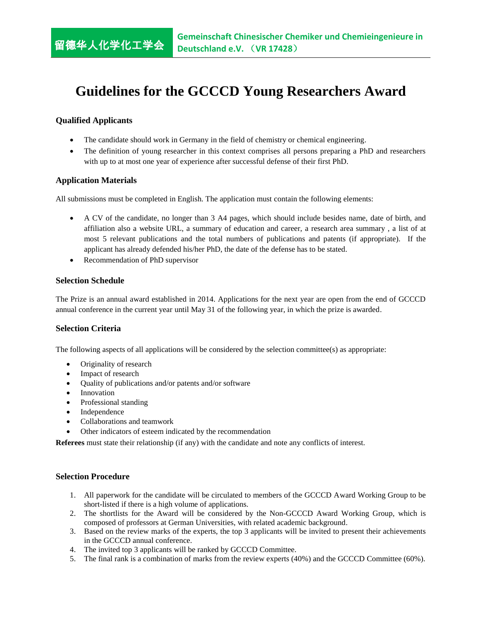# **Guidelines for the GCCCD Young Researchers Award**

# **Qualified Applicants**

留德华人化学化工学会

- The candidate should work in Germany in the field of chemistry or chemical engineering.
- The definition of young researcher in this context comprises all persons preparing a PhD and researchers with up to at most one year of experience after successful defense of their first PhD.

## **Application Materials**

All submissions must be completed in English. The application must contain the following elements:

- A CV of the candidate, no longer than 3 A4 pages, which should include besides name, date of birth, and affiliation also a website URL, a summary of education and career, a research area summary , a list of at most 5 relevant publications and the total numbers of publications and patents (if appropriate). If the applicant has already defended his/her PhD, the date of the defense has to be stated.
- Recommendation of PhD supervisor

## **Selection Schedule**

The Prize is an annual award established in 2014. Applications for the next year are open from the end of GCCCD annual conference in the current year until May 31 of the following year, in which the prize is awarded.

#### **Selection Criteria**

The following aspects of all applications will be considered by the selection committee(s) as appropriate:

- Originality of research
- Impact of research
- Quality of publications and/or patents and/or software
- Innovation
- Professional standing
- Independence
- Collaborations and teamwork
- Other indicators of esteem indicated by the recommendation

**Referees** must state their relationship (if any) with the candidate and note any conflicts of interest.

#### **Selection Procedure**

- 1. All paperwork for the candidate will be circulated to members of the GCCCD Award Working Group to be short-listed if there is a high volume of applications.
- 2. The shortlists for the Award will be considered by the Non-GCCCD Award Working Group, which is composed of professors at German Universities, with related academic background.
- 3. Based on the review marks of the experts, the top 3 applicants will be invited to present their achievements in the GCCCD annual conference.
- 4. The invited top 3 applicants will be ranked by GCCCD Committee.
- 5. The final rank is a combination of marks from the review experts (40%) and the GCCCD Committee (60%).